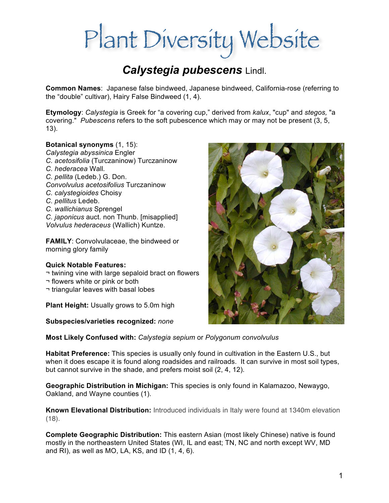# Plant Diversity Website

## *Calystegia pubescens* Lindl.

**Common Names**: Japanese false bindweed, Japanese bindweed, California-rose (referring to the "double" cultivar), Hairy False Bindweed (1, 4).

**Etymology**: *Calystegia* is Greek for "a covering cup," derived from *kalux*, "cup" and *stegos,* "a covering." *Pubescens* refers to the soft pubescence which may or may not be present (3, 5, 13).

### **Botanical synonyms** (1, 15):

- *Calystegia abyssinica* Engler
- *C. acetosifolia* (Turczaninow) Turczaninow
- *C. hederacea* Wall*.*
- *C. pellita* (Ledeb.) G. Don.
- *Convolvulus acetosifolius* Turczaninow
- *C. calystegioides* Choisy
- *C. pellitus* Ledeb.
- *C. wallichianus* Sprengel
- *C. japonicus* auct. non Thunb. [misapplied] *Volvulus hederaceus* (Wallich) Kuntze.

**FAMILY**: Convolvulaceae, the bindweed or morning glory family

### **Quick Notable Features:**

- ¬ twining vine with large sepaloid bract on flowers
- ¬ flowers white or pink or both
- ¬ triangular leaves with basal lobes

**Plant Height:** Usually grows to 5.0m high

**Subspecies/varieties recognized:** *none*

**Most Likely Confused with:** *Calystegia sepium* or *Polygonum convolvulus*

**Habitat Preference:** This species is usually only found in cultivation in the Eastern U.S., but when it does escape it is found along roadsides and railroads. It can survive in most soil types, but cannot survive in the shade, and prefers moist soil (2, 4, 12).

**Geographic Distribution in Michigan:** This species is only found in Kalamazoo, Newaygo, Oakland, and Wayne counties (1).

**Known Elevational Distribution:** Introduced individuals in Italy were found at 1340m elevation (18).

**Complete Geographic Distribution:** This eastern Asian (most likely Chinese) native is found mostly in the northeastern United States (WI, IL and east; TN, NC and north except WV, MD and RI), as well as MO, LA, KS, and ID  $(1, 4, 6)$ .

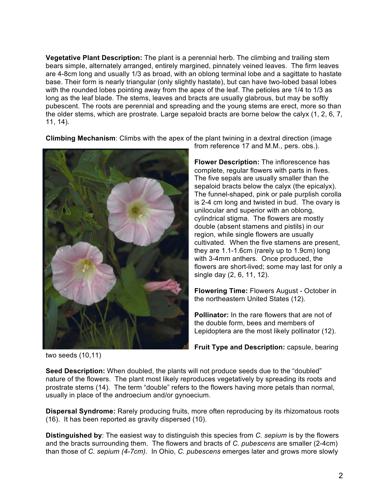**Vegetative Plant Description:** The plant is a perennial herb. The climbing and trailing stem bears simple, alternately arranged, entirely margined, pinnately veined leaves. The firm leaves are 4-8cm long and usually 1/3 as broad, with an oblong terminal lobe and a sagittate to hastate base. Their form is nearly triangular (only slightly hastate), but can have two-lobed basal lobes with the rounded lobes pointing away from the apex of the leaf. The petioles are 1/4 to 1/3 as long as the leaf blade. The stems, leaves and bracts are usually glabrous, but may be softly pubescent. The roots are perennial and spreading and the young stems are erect, more so than the older stems, which are prostrate. Large sepaloid bracts are borne below the calyx (1, 2, 6, 7, 11, 14).

**Climbing Mechanism**: Climbs with the apex of the plant twining in a dextral direction (image



from reference 17 and M.M., pers. obs.).

**Flower Description:** The inflorescence has complete, regular flowers with parts in fives. The five sepals are usually smaller than the sepaloid bracts below the calyx (the epicalyx). The funnel-shaped, pink or pale purplish corolla is 2-4 cm long and twisted in bud. The ovary is unilocular and superior with an oblong, cylindrical stigma. The flowers are mostly double (absent stamens and pistils) in our region, while single flowers are usually cultivated. When the five stamens are present, they are 1.1-1.6cm (rarely up to 1.9cm) long with 3-4mm anthers. Once produced, the flowers are short-lived; some may last for only a single day (2, 6, 11, 12).

**Flowering Time:** Flowers August - October in the northeastern United States (12).

**Pollinator:** In the rare flowers that are not of the double form, bees and members of Lepidoptera are the most likely pollinator (12).

**Fruit Type and Description:** capsule, bearing

two seeds (10,11)

**Seed Description:** When doubled, the plants will not produce seeds due to the "doubled" nature of the flowers. The plant most likely reproduces vegetatively by spreading its roots and prostrate stems (14). The term "double" refers to the flowers having more petals than normal, usually in place of the androecium and/or gynoecium.

**Dispersal Syndrome:** Rarely producing fruits, more often reproducing by its rhizomatous roots (16). It has been reported as gravity dispersed (10).

**Distinguished by**: The easiest way to distinguish this species from *C. sepium* is by the flowers and the bracts surrounding them. The flowers and bracts of *C. pubescens* are smaller (2-4cm) than those of *C. sepium (4-7cm)*. In Ohio, *C. pubescens* emerges later and grows more slowly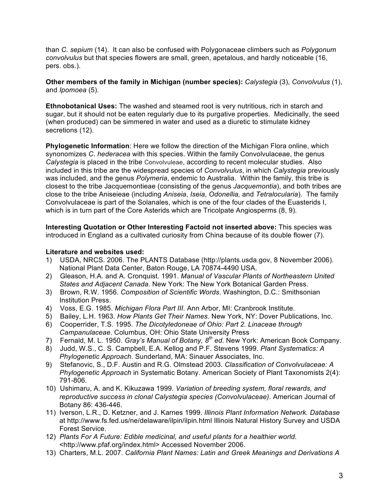than *C. sepium* (14). It can also be confused with Polygonaceae climbers such as *Polygonum convolvulus* but that species flowers are small, green, apetalous, and hardly noticeable (16, pers. obs.).

**Other members of the family in Michigan (number species):** *Calystegia* (3), *Convolvulus* (1), and *Ipomoea* (5).

**Ethnobotanical Uses:** The washed and steamed root is very nutritious, rich in starch and sugar, but it should not be eaten regularly due to its purgative properties. Medicinally, the seed (when produced) can be simmered in water and used as a diuretic to stimulate kidney secretions (12).

**Phylogenetic Information**: Here we follow the direction of the Michigan Flora online, which synonomizes *C. hederacea* with this species. Within the family Convolvulaceae, the genus *Calystegia* is placed in the tribe Convolvuleae, according to recent molecular studies. Also included in this tribe are the widespread species of *Convolvulus*, in which *Calystegia* previously was included, and the genus *Polymeria*, endemic to Australia. Within the family, this tribe is closest to the tribe Jacquemontieae (consisting of the genus *Jacquemontia*), and both tribes are close to the tribe Aniseieae (including *Aniseia*, *Iseia*, *Odonellia,* and *Tetralocularia*). The family Convolvulaceae is part of the Solanales, which is one of the four clades of the Euasterids I, which is in turn part of the Core Asterids which are Tricolpate Angiosperms (8, 9).

**Interesting Quotation or Other Interesting Factoid not inserted above:** This species was introduced in England as a cultivated curiosity from China because of its double flower (7).

#### **Literature and websites used:**

- 1) USDA, NRCS. 2006. The PLANTS Database (http://plants.usda.gov, 8 November 2006). National Plant Data Center, Baton Rouge, LA 70874-4490 USA.
- 2) Gleason, H.A. and A. Cronquist. 1991. *Manual of Vascular Plants of Northeastern United States and Adjacent Canada.* New York: The New York Botanical Garden Press.
- 3) Brown, R.W. 1956. *Composition of Scientific Words*. Washington, D.C.: Smithsonian Institution Press.
- 4) Voss, E.G. 1985. *Michigan Flora Part III*. Ann Arbor, MI: Cranbrook Institute.
- 5) Bailey, L.H. 1963. *How Plants Get Their Names*. New York, NY: Dover Publications, Inc.
- 6) Cooperrider, T.S. 1995. *The Dicotyledoneae of Ohio: Part 2. Linaceae through Campanulaceae*. Columbus, OH: Ohio State University Press
- 7) Fernald, M. L. 1950. *Gray's Manual of Botany, 8th ed*. New York: American Book Company.
- 8) Judd, W.S., C. S. Campbell, E.A. Kellog and P.F. Stevens 1999. *Plant Systematics: A Phylogenetic Approach*. Sunderland, MA: Sinauer Associates, Inc.
- 9) Stefanovic, S., D.F. Austin and R.G. Olmstead 2003. *Classification of Convolvulaceae: A Phylogenetic Approach* in Systematic Botany. American Society of Plant Taxonomists 2(4): 791-806.
- 10) Ushimaru, A. and K. Kikuzawa 1999. *Variation of breeding system, floral rewards, and reproductive success in clonal Calystegia species (Convolvulaceae)*. American Journal of Botany 86: 436-446.
- 11) Iverson, L.R., D. Ketzner, and J. Karnes 1999. *Illinois Plant Information Network. Database* at http://www.fs.fed.us/ne/delaware/ilpin/ilpin.html Illinois Natural History Survey and USDA Forest Service.
- 12) *Plants For A Future: Edible medicinal, and useful plants for a healthier world*. <http://www.pfaf.org/index.html> Accessed November 2006.
- 13) Charters, M.L. 2007. *California Plant Names: Latin and Greek Meanings and Derivations A*